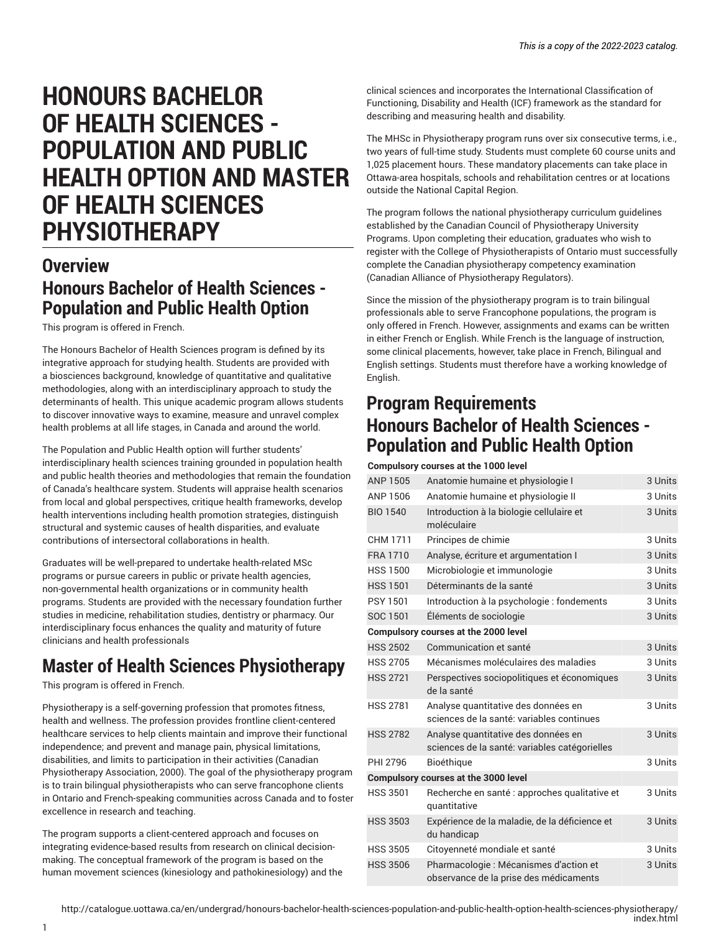# **HONOURS BACHELOR OF HEALTH SCIENCES - POPULATION AND PUBLIC HEALTH OPTION AND MASTER OF HEALTH SCIENCES PHYSIOTHERAPY**

## **Overview Honours Bachelor of Health Sciences - Population and Public Health Option**

This program is offered in French.

The Honours Bachelor of Health Sciences program is defined by its integrative approach for studying health. Students are provided with a biosciences background, knowledge of quantitative and qualitative methodologies, along with an interdisciplinary approach to study the determinants of health. This unique academic program allows students to discover innovative ways to examine, measure and unravel complex health problems at all life stages, in Canada and around the world.

The Population and Public Health option will further students' interdisciplinary health sciences training grounded in population health and public health theories and methodologies that remain the foundation of Canada's healthcare system. Students will appraise health scenarios from local and global perspectives, critique health frameworks, develop health interventions including health promotion strategies, distinguish structural and systemic causes of health disparities, and evaluate contributions of intersectoral collaborations in health.

Graduates will be well-prepared to undertake health-related MSc programs or pursue careers in public or private health agencies, non-governmental health organizations or in community health programs. Students are provided with the necessary foundation further studies in medicine, rehabilitation studies, dentistry or pharmacy. Our interdisciplinary focus enhances the quality and maturity of future clinicians and health professionals

## **Master of Health Sciences Physiotherapy**

This program is offered in French.

Physiotherapy is a self-governing profession that promotes fitness, health and wellness. The profession provides frontline client-centered healthcare services to help clients maintain and improve their functional independence; and prevent and manage pain, physical limitations, disabilities, and limits to participation in their activities (Canadian Physiotherapy Association, 2000). The goal of the physiotherapy program is to train bilingual physiotherapists who can serve francophone clients in Ontario and French-speaking communities across Canada and to foster excellence in research and teaching.

The program supports a client-centered approach and focuses on integrating evidence-based results from research on clinical decisionmaking. The conceptual framework of the program is based on the human movement sciences (kinesiology and pathokinesiology) and the

clinical sciences and incorporates the International Classification of Functioning, Disability and Health (ICF) framework as the standard for describing and measuring health and disability.

The MHSc in Physiotherapy program runs over six consecutive terms, i.e., two years of full-time study. Students must complete 60 course units and 1,025 placement hours. These mandatory placements can take place in Ottawa-area hospitals, schools and rehabilitation centres or at locations outside the National Capital Region.

The program follows the national physiotherapy curriculum guidelines established by the Canadian Council of Physiotherapy University Programs. Upon completing their education, graduates who wish to register with the College of Physiotherapists of Ontario must successfully complete the Canadian physiotherapy competency examination (Canadian Alliance of Physiotherapy Regulators).

Since the mission of the physiotherapy program is to train bilingual professionals able to serve Francophone populations, the program is only offered in French. However, assignments and exams can be written in either French or English. While French is the language of instruction, some clinical placements, however, take place in French, Bilingual and English settings. Students must therefore have a working knowledge of English.

## **Program Requirements Honours Bachelor of Health Sciences - Population and Public Health Option**

**Compulsory courses at the 1000 level**

| <b>ANP 1505</b>                      | Anatomie humaine et physiologie I                                                    | 3 Units |  |
|--------------------------------------|--------------------------------------------------------------------------------------|---------|--|
| ANP 1506                             | Anatomie humaine et physiologie II                                                   | 3 Units |  |
| <b>BIO 1540</b>                      | Introduction à la biologie cellulaire et<br>moléculaire                              | 3 Units |  |
| CHM 1711                             | Principes de chimie                                                                  | 3 Units |  |
| <b>FRA 1710</b>                      | Analyse, écriture et argumentation I                                                 | 3 Units |  |
| <b>HSS 1500</b>                      | Microbiologie et immunologie                                                         | 3 Units |  |
| <b>HSS 1501</b>                      | Déterminants de la santé                                                             | 3 Units |  |
| <b>PSY 1501</b>                      | Introduction à la psychologie : fondements                                           | 3 Units |  |
| SOC 1501                             | Éléments de sociologie                                                               | 3 Units |  |
|                                      | <b>Compulsory courses at the 2000 level</b>                                          |         |  |
| <b>HSS 2502</b>                      | Communication et santé                                                               | 3 Units |  |
| <b>HSS 2705</b>                      | Mécanismes moléculaires des maladies                                                 | 3 Units |  |
| <b>HSS 2721</b>                      | Perspectives sociopolitiques et économiques<br>de la santé                           | 3 Units |  |
| <b>HSS 2781</b>                      | Analyse quantitative des données en<br>sciences de la santé: variables continues     | 3 Units |  |
| <b>HSS 2782</b>                      | Analyse quantitative des données en<br>sciences de la santé: variables catégorielles | 3 Units |  |
| PHI 2796                             | <b>Bioéthique</b>                                                                    | 3 Units |  |
| Compulsory courses at the 3000 level |                                                                                      |         |  |
| <b>HSS 3501</b>                      | Recherche en santé : approches qualitative et<br>quantitative                        | 3 Units |  |
| <b>HSS 3503</b>                      | Expérience de la maladie, de la déficience et<br>du handicap                         | 3 Units |  |
| <b>HSS 3505</b>                      | Citoyenneté mondiale et santé                                                        | 3 Units |  |
| <b>HSS 3506</b>                      | Pharmacologie : Mécanismes d'action et<br>observance de la prise des médicaments     | 3 Units |  |
|                                      |                                                                                      |         |  |

http://catalogue.uottawa.ca/en/undergrad/honours-bachelor-health-sciences-population-and-public-health-option-health-sciences-physiotherapy/ index.html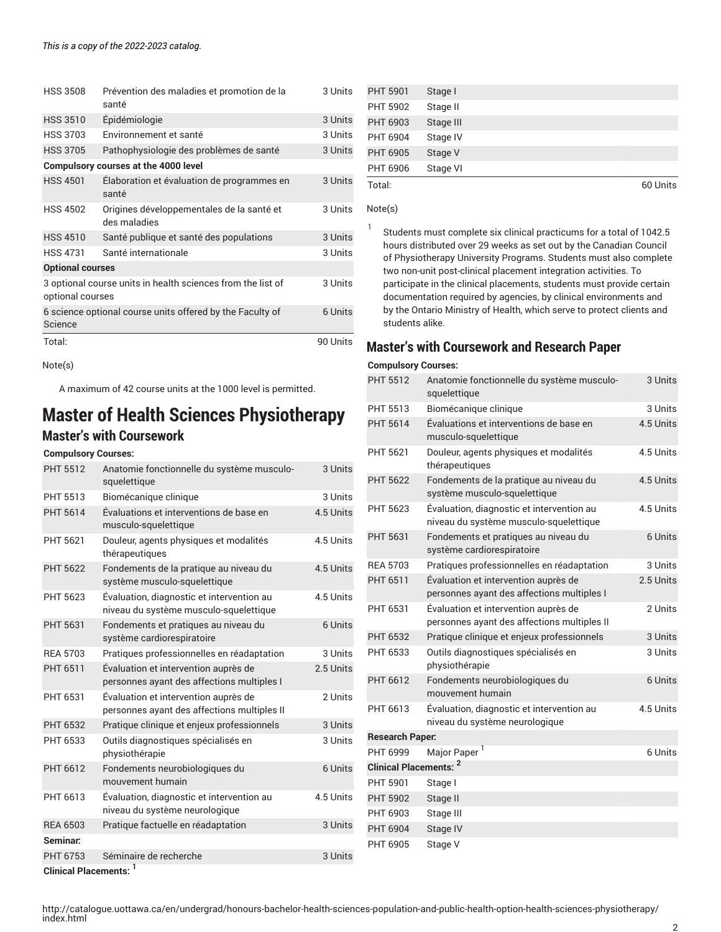| <b>HSS 3508</b>                      | Prévention des maladies et promotion de la<br>santé         | 3 Units  |
|--------------------------------------|-------------------------------------------------------------|----------|
| <b>HSS 3510</b>                      | Épidémiologie                                               | 3 Units  |
| <b>HSS 3703</b>                      | Environnement et santé                                      | 3 Units  |
| <b>HSS 3705</b>                      | Pathophysiologie des problèmes de santé                     | 3 Units  |
| Compulsory courses at the 4000 level |                                                             |          |
| <b>HSS 4501</b>                      | Élaboration et évaluation de programmes en<br>santé         | 3 Units  |
| <b>HSS 4502</b>                      | Origines développementales de la santé et<br>des maladies   | 3 Units  |
| <b>HSS 4510</b>                      | Santé publique et santé des populations                     | 3 Units  |
| <b>HSS 4731</b>                      | Santé internationale                                        |          |
| <b>Optional courses</b>              |                                                             |          |
| optional courses                     | 3 optional course units in health sciences from the list of | 3 Units  |
| Science                              | 6 science optional course units offered by the Faculty of   | 6 Units  |
| Total:                               |                                                             | 90 Units |

Note(s)

A maximum of 42 course units at the 1000 level is permitted.

## **Master of Health Sciences Physiotherapy Master's with Coursework**

#### **Compulsory Courses:**

| <b>PHT 5512</b>                   | Anatomie fonctionnelle du système musculo-<br>squelettique                          | 3 Units   |
|-----------------------------------|-------------------------------------------------------------------------------------|-----------|
| PHT 5513                          | Biomécanique clinique                                                               | 3 Units   |
| <b>PHT 5614</b>                   | Évaluations et interventions de base en<br>musculo-squelettique                     | 4.5 Units |
| PHT 5621                          | Douleur, agents physiques et modalités<br>thérapeutiques                            | 4.5 Units |
| <b>PHT 5622</b>                   | Fondements de la pratique au niveau du<br>système musculo-squelettique              | 4.5 Units |
| PHT 5623                          | Évaluation, diagnostic et intervention au<br>niveau du système musculo-squelettique | 4.5 Units |
| <b>PHT 5631</b>                   | Fondements et pratiques au niveau du<br>système cardiorespiratoire                  | 6 Units   |
| <b>REA 5703</b>                   | Pratiques professionnelles en réadaptation                                          | 3 Units   |
| PHT 6511                          | Évaluation et intervention auprès de<br>personnes ayant des affections multiples I  | 2.5 Units |
| PHT 6531                          | Évaluation et intervention auprès de<br>personnes ayant des affections multiples II | 2 Units   |
| <b>PHT 6532</b>                   | Pratique clinique et enjeux professionnels                                          | 3 Units   |
| PHT 6533                          | Outils diagnostiques spécialisés en<br>physiothérapie                               | 3 Units   |
| PHT 6612                          | Fondements neurobiologiques du<br>mouvement humain                                  | 6 Units   |
| PHT 6613                          | Évaluation, diagnostic et intervention au<br>niveau du système neurologique         | 4.5 Units |
| <b>REA 6503</b>                   | Pratique factuelle en réadaptation                                                  | 3 Units   |
| Seminar:                          |                                                                                     |           |
| PHT 6753                          | Séminaire de recherche                                                              | 3 Units   |
| Clinical Placements <sup>-1</sup> |                                                                                     |           |

| <b>PHT 5901</b> | Stage I   |  |          |
|-----------------|-----------|--|----------|
| <b>PHT 5902</b> | Stage II  |  |          |
| PHT 6903        | Stage III |  |          |
| PHT 6904        | Stage IV  |  |          |
| PHT 6905        | Stage V   |  |          |
| PHT 6906        | Stage VI  |  |          |
| Total:          |           |  | 60 Units |

Note(s)

1 Students must complete six clinical practicums for a total of 1042.5 hours distributed over 29 weeks as set out by the Canadian Council of Physiotherapy University Programs. Students must also complete two non-unit post-clinical placement integration activities. To participate in the clinical placements, students must provide certain documentation required by agencies, by clinical environments and by the Ontario Ministry of Health, which serve to protect clients and students alike.

#### **Master's with Coursework and Research Paper**

#### **Compulsory Courses:**

| <b>PHT 5512</b>               | Anatomie fonctionnelle du système musculo-<br>squelettique                          | 3 Units   |  |
|-------------------------------|-------------------------------------------------------------------------------------|-----------|--|
| <b>PHT 5513</b>               | Biomécanique clinique                                                               | 3 Units   |  |
| <b>PHT 5614</b>               | Évaluations et interventions de base en<br>musculo-squelettique                     | 4.5 Units |  |
| PHT 5621                      | Douleur, agents physiques et modalités<br>thérapeutiques                            | 4.5 Units |  |
| <b>PHT 5622</b>               | Fondements de la pratique au niveau du<br>système musculo-squelettique              | 4.5 Units |  |
| PHT 5623                      | Évaluation, diagnostic et intervention au<br>niveau du système musculo-squelettique | 4.5 Units |  |
| <b>PHT 5631</b>               | Fondements et pratiques au niveau du<br>système cardiorespiratoire                  | 6 Units   |  |
| <b>REA 5703</b>               | Pratiques professionnelles en réadaptation                                          | 3 Units   |  |
| PHT 6511                      | Évaluation et intervention auprès de<br>personnes ayant des affections multiples I  | 2.5 Units |  |
| PHT 6531                      | Évaluation et intervention auprès de<br>personnes ayant des affections multiples II | 2 Units   |  |
| <b>PHT 6532</b>               | Pratique clinique et enjeux professionnels                                          | 3 Units   |  |
| PHT 6533                      | Outils diagnostiques spécialisés en<br>physiothérapie                               | 3 Units   |  |
| PHT 6612                      | Fondements neurobiologiques du<br>mouvement humain                                  | 6 Units   |  |
| PHT 6613                      | Évaluation, diagnostic et intervention au<br>niveau du système neurologique         | 4.5 Units |  |
| <b>Research Paper:</b>        |                                                                                     |           |  |
| <b>PHT 6999</b>               | Major Paper <sup>1</sup>                                                            | 6 Units   |  |
| <b>Clinical Placements: 2</b> |                                                                                     |           |  |
| <b>PHT 5901</b>               | Stage I                                                                             |           |  |
| <b>PHT 5902</b>               | Stage II                                                                            |           |  |
| PHT 6903                      | Stage III                                                                           |           |  |
| <b>PHT 6904</b>               | Stage IV                                                                            |           |  |
| PHT 6905                      | Stage V                                                                             |           |  |

**Clinical Placements: <sup>1</sup>**